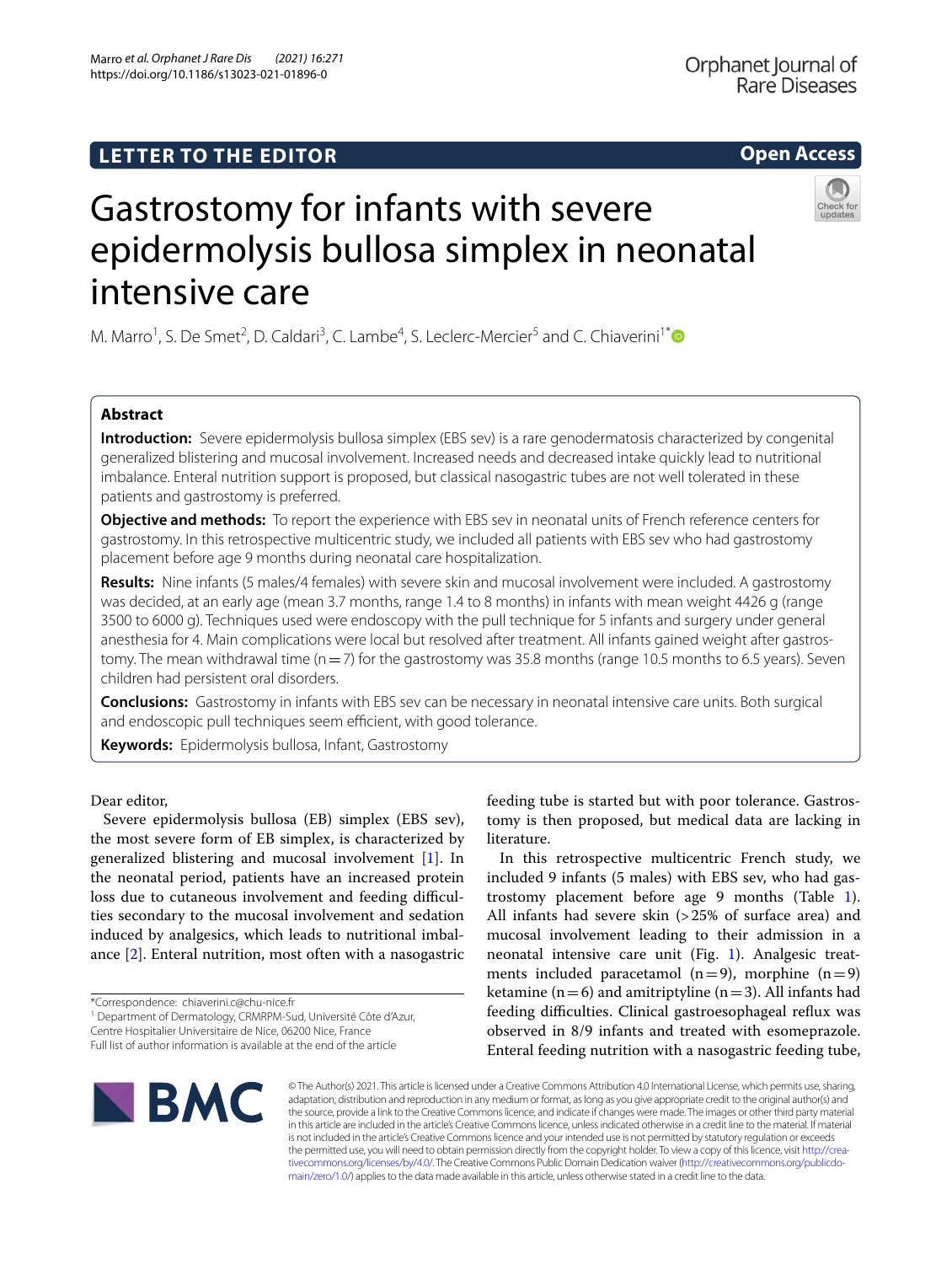Marro *et al. Orphanet J Rare Dis (2021) 16:271*  https://doi.org/10.1186/s13023-021-01896-0

**Open Access**

# Gastrostomy for infants with severe epidermolysis bullosa simplex in neonatal intensive care

M. Marro<sup>1</sup>, S. De Smet<sup>2</sup>, D. Caldari<sup>3</sup>, C. Lambe<sup>4</sup>, S. Leclerc-Mercier<sup>5</sup> and C. Chiaverini<sup>1[\\*](http://orcid.org/0000-0002-6063-5409)</sup>

# **Abstract**

**Introduction:** Severe epidermolysis bullosa simplex (EBS sev) is a rare genodermatosis characterized by congenital generalized blistering and mucosal involvement. Increased needs and decreased intake quickly lead to nutritional imbalance. Enteral nutrition support is proposed, but classical nasogastric tubes are not well tolerated in these patients and gastrostomy is preferred.

**Objective and methods:** To report the experience with EBS sev in neonatal units of French reference centers for gastrostomy. In this retrospective multicentric study, we included all patients with EBS sev who had gastrostomy placement before age 9 months during neonatal care hospitalization.

**Results:** Nine infants (5 males/4 females) with severe skin and mucosal involvement were included. A gastrostomy was decided, at an early age (mean 3.7 months, range 1.4 to 8 months) in infants with mean weight 4426 g (range 3500 to 6000 g). Techniques used were endoscopy with the pull technique for 5 infants and surgery under general anesthesia for 4. Main complications were local but resolved after treatment. All infants gained weight after gastrostomy. The mean withdrawal time ( $n=7$ ) for the gastrostomy was 35.8 months (range 10.5 months to 6.5 years). Seven children had persistent oral disorders.

**Conclusions:** Gastrostomy in infants with EBS sev can be necessary in neonatal intensive care units. Both surgical and endoscopic pull techniques seem efficient, with good tolerance.

**Keywords:** Epidermolysis bullosa, Infant, Gastrostomy

Dear editor,

Severe epidermolysis bullosa (EB) simplex (EBS sev), the most severe form of EB simplex, is characterized by generalized blistering and mucosal involvement [[1\]](#page-2-0). In the neonatal period, patients have an increased protein loss due to cutaneous involvement and feeding difficulties secondary to the mucosal involvement and sedation induced by analgesics, which leads to nutritional imbalance [\[2](#page-2-1)]. Enteral nutrition, most often with a nasogastric

\*Correspondence: chiaverini.c@chu-nice.fr

<sup>1</sup> Department of Dermatology, CRMRPM-Sud, Université Côte d'Azur,

Centre Hospitalier Universitaire de Nice, 06200 Nice, France

feeding tube is started but with poor tolerance. Gastrostomy is then proposed, but medical data are lacking in literature.

In this retrospective multicentric French study, we included 9 infants (5 males) with EBS sev, who had gastrostomy placement before age 9 months (Table [1](#page-1-0)). All infants had severe skin (>25% of surface area) and mucosal involvement leading to their admission in a neonatal intensive care unit (Fig. [1](#page-2-2)). Analgesic treatments included paracetamol  $(n=9)$ , morphine  $(n=9)$ ketamine ( $n=6$ ) and amitriptyline ( $n=3$ ). All infants had feeding difficulties. Clinical gastroesophageal reflux was observed in 8/9 infants and treated with esomeprazole. Enteral feeding nutrition with a nasogastric feeding tube,



© The Author(s) 2021. This article is licensed under a Creative Commons Attribution 4.0 International License, which permits use, sharing, adaptation, distribution and reproduction in any medium or format, as long as you give appropriate credit to the original author(s) and the source, provide a link to the Creative Commons licence, and indicate if changes were made. The images or other third party material in this article are included in the article's Creative Commons licence, unless indicated otherwise in a credit line to the material. If material is not included in the article's Creative Commons licence and your intended use is not permitted by statutory regulation or exceeds the permitted use, you will need to obtain permission directly from the copyright holder. To view a copy of this licence, visit http://crea[tivecommons.org/licenses/by/4.0/.](http://creativecommons.org/licenses/by/4.0/) The Creative Commons Public Domain Dedication waiver (http://creativecommons.org/publicdo[main/zero/1.0/\)](http://creativecommons.org/publicdomain/zero/1.0/) applies to the data made available in this article, unless otherwise stated in a credit line to the data.

Full list of author information is available at the end of the article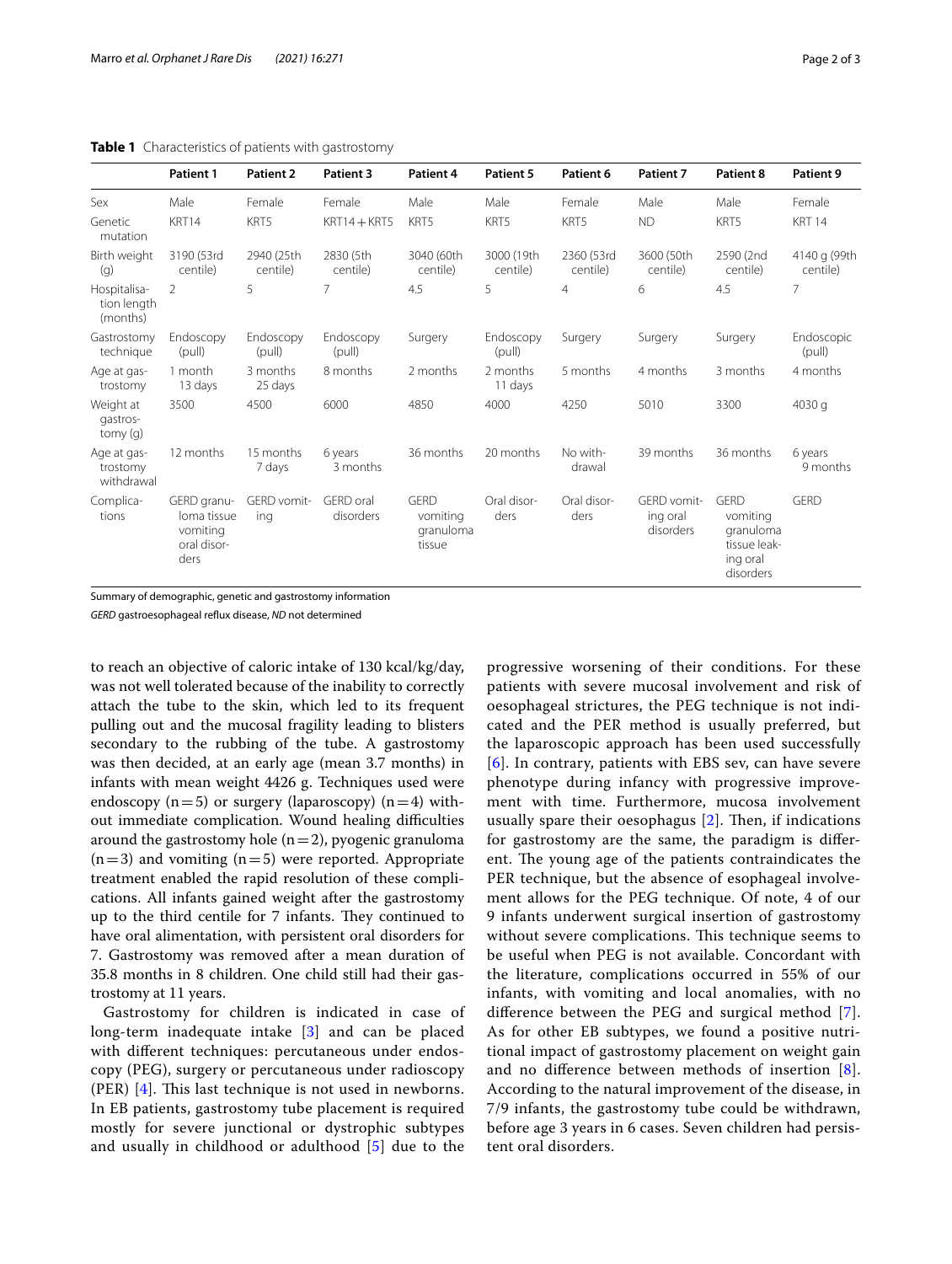# <span id="page-1-0"></span>**Table 1** Characteristics of patients with gastrostomy

|                                         | <b>Patient 1</b>                                              | <b>Patient 2</b>       | Patient 3              | Patient 4                                      | Patient 5              | Patient 6              | Patient 7                            | Patient 8                                                                     | Patient 9                |
|-----------------------------------------|---------------------------------------------------------------|------------------------|------------------------|------------------------------------------------|------------------------|------------------------|--------------------------------------|-------------------------------------------------------------------------------|--------------------------|
| Sex                                     | Male                                                          | Female                 | Female                 | Male                                           | Male                   | Female                 | Male                                 | Male                                                                          | Female                   |
| Genetic<br>mutation                     | KRT14                                                         | KRT5                   | $KRT14 + KRT5$         | KRT5                                           | KRT5                   | KRT5                   | <b>ND</b>                            | KRT5                                                                          | <b>KRT 14</b>            |
| Birth weight<br>(q)                     | 3190 (53rd<br>centile)                                        | 2940 (25th<br>centile) | 2830 (5th<br>centile)  | 3040 (60th<br>centile)                         | 3000 (19th<br>centile) | 2360 (53rd<br>centile) | 3600 (50th<br>centile)               | 2590 (2nd<br>centile)                                                         | 4140 g (99th<br>centile) |
| Hospitalisa-<br>tion length<br>(months) | $\overline{2}$                                                | 5                      | 7                      | 4.5                                            | 5                      | $\overline{4}$         | 6                                    | 4.5                                                                           | $\overline{7}$           |
| Gastrostomy<br>technique                | Endoscopy<br>(pull)                                           | Endoscopy<br>(pull)    | Endoscopy<br>(pull)    | Surgery                                        | Endoscopy<br>(pull)    | Surgery                | Surgery                              | Surgery                                                                       | Endoscopic<br>(pull)     |
| Age at gas-<br>trostomy                 | 1 month<br>13 days                                            | 3 months<br>25 days    | 8 months               | 2 months                                       | 2 months<br>11 days    | 5 months               | 4 months                             | 3 months                                                                      | 4 months                 |
| Weight at<br>qastros-<br>tomy(q)        | 3500                                                          | 4500                   | 6000                   | 4850                                           | 4000                   | 4250                   | 5010                                 | 3300                                                                          | 4030 g                   |
| Age at gas-<br>trostomy<br>withdrawal   | 12 months                                                     | 15 months<br>7 days    | 6 years<br>3 months    | 36 months                                      | 20 months              | No with-<br>drawal     | 39 months                            | 36 months                                                                     | 6 years<br>9 months      |
| Complica-<br>tions                      | GERD granu-<br>loma tissue<br>vomiting<br>oral disor-<br>ders | GERD vomit-<br>ing     | GERD oral<br>disorders | <b>GFRD</b><br>vomiting<br>granuloma<br>tissue | Oral disor-<br>ders    | Oral disor-<br>ders    | GERD vomit-<br>ing oral<br>disorders | <b>GERD</b><br>vomiting<br>granuloma<br>tissue leak-<br>ing oral<br>disorders | GFRD                     |

Summary of demographic, genetic and gastrostomy information

*GERD* gastroesophageal refux disease, *ND* not determined

to reach an objective of caloric intake of 130 kcal/kg/day, was not well tolerated because of the inability to correctly attach the tube to the skin, which led to its frequent pulling out and the mucosal fragility leading to blisters secondary to the rubbing of the tube. A gastrostomy was then decided, at an early age (mean 3.7 months) in infants with mean weight 4426 g. Techniques used were endoscopy  $(n=5)$  or surgery (laparoscopy)  $(n=4)$  without immediate complication. Wound healing difficulties around the gastrostomy hole  $(n=2)$ , pyogenic granuloma  $(n=3)$  and vomiting  $(n=5)$  were reported. Appropriate treatment enabled the rapid resolution of these complications. All infants gained weight after the gastrostomy up to the third centile for 7 infants. They continued to have oral alimentation, with persistent oral disorders for 7. Gastrostomy was removed after a mean duration of 35.8 months in 8 children. One child still had their gastrostomy at 11 years.

Gastrostomy for children is indicated in case of long-term inadequate intake [[3\]](#page-2-3) and can be placed with diferent techniques: percutaneous under endoscopy (PEG), surgery or percutaneous under radioscopy (PER)  $[4]$  $[4]$ . This last technique is not used in newborns. In EB patients, gastrostomy tube placement is required mostly for severe junctional or dystrophic subtypes and usually in childhood or adulthood [[5\]](#page-2-5) due to the

progressive worsening of their conditions. For these patients with severe mucosal involvement and risk of oesophageal strictures, the PEG technique is not indicated and the PER method is usually preferred, but the laparoscopic approach has been used successfully [[6](#page-2-6)]. In contrary, patients with EBS sev, can have severe phenotype during infancy with progressive improvement with time. Furthermore, mucosa involvement usually spare their oesophagus  $[2]$  $[2]$ . Then, if indications for gastrostomy are the same, the paradigm is diferent. The young age of the patients contraindicates the PER technique, but the absence of esophageal involvement allows for the PEG technique. Of note, 4 of our 9 infants underwent surgical insertion of gastrostomy without severe complications. This technique seems to be useful when PEG is not available. Concordant with the literature, complications occurred in 55% of our infants, with vomiting and local anomalies, with no diference between the PEG and surgical method [[7](#page-2-7)]. As for other EB subtypes, we found a positive nutritional impact of gastrostomy placement on weight gain and no diference between methods of insertion [[8](#page-2-8)]. According to the natural improvement of the disease, in 7/9 infants, the gastrostomy tube could be withdrawn, before age 3 years in 6 cases. Seven children had persistent oral disorders.